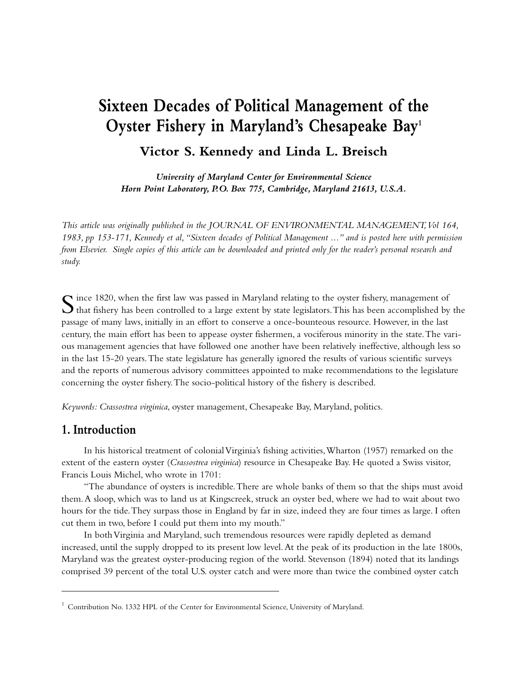# **Sixteen Decades of Political Management of the Oyster Fishery in Maryland's Chesapeake Bay1**

**Victor S. Kennedy and Linda L. Breisch**

*University of Maryland Center for Environmental Science Horn Point Laboratory, P.O. Box 775, Cambridge, Maryland 21613, U.S.A.*

*This article was originally published in the JOURNAL OF ENVIRONMENTAL MANAGEMENT,Vol 164, 1983, pp 153-171, Kennedy et al,"Sixteen decades of Political Management ..." and is posted here with permission from Elsevier. Single copies of this article can be downloaded and printed only for the reader's personal research and study.*

 $\sum$  ince 1820, when the first law was passed in Maryland relating to the oyster fishery, management of that fishery has been controlled to a large extent by state legislators. This has been accomplished by the passage of many laws, initially in an effort to conserve a once-bounteous resource. However, in the last century, the main effort has been to appease oyster fishermen, a vociferous minority in the state.The various management agencies that have followed one another have been relatively ineffective, although less so in the last 15-20 years.The state legislature has generally ignored the results of various scientific surveys and the reports of numerous advisory committees appointed to make recommendations to the legislature concerning the oyster fishery.The socio-political history of the fishery is described.

*Keywords: Crassostrea virginica*, oyster management, Chesapeake Bay, Maryland, politics.

### **1. Introduction**

In his historical treatment of colonial Virginia's fishing activities,Wharton (1957) remarked on the extent of the eastern oyster (*Crassostrea virginica*) resource in Chesapeake Bay. He quoted a Swiss visitor, Francis Louis Michel, who wrote in 1701:

"The abundance of oysters is incredible.There are whole banks of them so that the ships must avoid them.A sloop, which was to land us at Kingscreek, struck an oyster bed, where we had to wait about two hours for the tide.They surpass those in England by far in size, indeed they are four times as large. I often cut them in two, before I could put them into my mouth."

In both Virginia and Maryland, such tremendous resources were rapidly depleted as demand increased, until the supply dropped to its present low level.At the peak of its production in the late 1800s, Maryland was the greatest oyster-producing region of the world. Stevenson (1894) noted that its landings comprised 39 percent of the total U.S. oyster catch and were more than twice the combined oyster catch

<sup>&</sup>lt;sup>1</sup> Contribution No. 1332 HPL of the Center for Environmental Science, University of Maryland.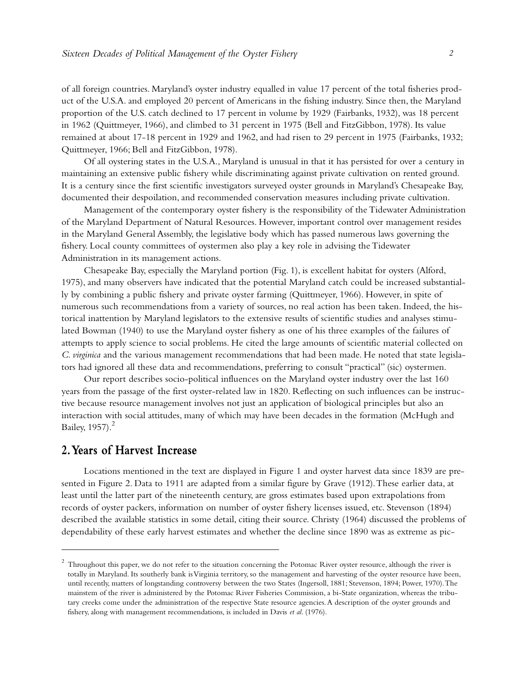of all foreign countries. Maryland's oyster industry equalled in value 17 percent of the total fisheries product of the U.S.A. and employed 20 percent of Americans in the fishing industry. Since then, the Maryland proportion of the U.S. catch declined to 17 percent in volume by 1929 (Fairbanks, 1932), was 18 percent in 1962 (Quittmeyer, 1966), and climbed to 31 percent in 1975 (Bell and FitzGibbon, 1978). Its value remained at about 17-18 percent in 1929 and 1962, and had risen to 29 percent in 1975 (Fairbanks, 1932; Quittmeyer, 1966; Bell and FitzGibbon, 1978).

Of all oystering states in the U.S.A., Maryland is unusual in that it has persisted for over a century in maintaining an extensive public fishery while discriminating against private cultivation on rented ground. It is a century since the first scientific investigators surveyed oyster grounds in Maryland's Chesapeake Bay, documented their despoilation, and recommended conservation measures including private cultivation.

Management of the contemporary oyster fishery is the responsibility of the Tidewater Administration of the Maryland Department of Natural Resources. However, important control over management resides in the Maryland General Assembly, the legislative body which has passed numerous laws governing the fishery. Local county committees of oystermen also play a key role in advising the Tidewater Administration in its management actions.

Chesapeake Bay, especially the Maryland portion (Fig. 1), is excellent habitat for oysters (Alford, 1975), and many observers have indicated that the potential Maryland catch could be increased substantially by combining a public fishery and private oyster farming (Quittmeyer, 1966). However, in spite of numerous such recommendations from a variety of sources, no real action has been taken. Indeed, the historical inattention by Maryland legislators to the extensive results of scientific studies and analyses stimulated Bowman (1940) to use the Maryland oyster fishery as one of his three examples of the failures of attempts to apply science to social problems. He cited the large amounts of scientific material collected on *C. virginica* and the various management recommendations that had been made. He noted that state legislators had ignored all these data and recommendations, preferring to consult "practical" (sic) oystermen.

Our report describes socio-political influences on the Maryland oyster industry over the last 160 years from the passage of the first oyster-related law in 1820. Reflecting on such influences can be instructive because resource management involves not just an application of biological principles but also an interaction with social attitudes, many of which may have been decades in the formation (McHugh and Bailey,  $1957$ ). $^{2}$ 

#### **2.Years of Harvest Increase**

Locations mentioned in the text are displayed in Figure 1 and oyster harvest data since 1839 are presented in Figure 2. Data to 1911 are adapted from a similar figure by Grave (1912).These earlier data, at least until the latter part of the nineteenth century, are gross estimates based upon extrapolations from records of oyster packers, information on number of oyster fishery licenses issued, etc. Stevenson (1894) described the available statistics in some detail, citing their source. Christy (1964) discussed the problems of dependability of these early harvest estimates and whether the decline since 1890 was as extreme as pic-

 $2$  Throughout this paper, we do not refer to the situation concerning the Potomac River oyster resource, although the river is totally in Maryland. Its southerly bank is Virginia territory, so the management and harvesting of the oyster resource have been, until recently, matters of longstanding controversy between the two States (Ingersoll, 1881; Stevenson, 1894; Power, 1970).The mainstem of the river is administered by the Potomac River Fisheries Commission, a bi-State organization, whereas the tributary creeks come under the administration of the respective State resource agencies.A description of the oyster grounds and fishery, along with management recommendations, is included in Davis *et al.* (1976).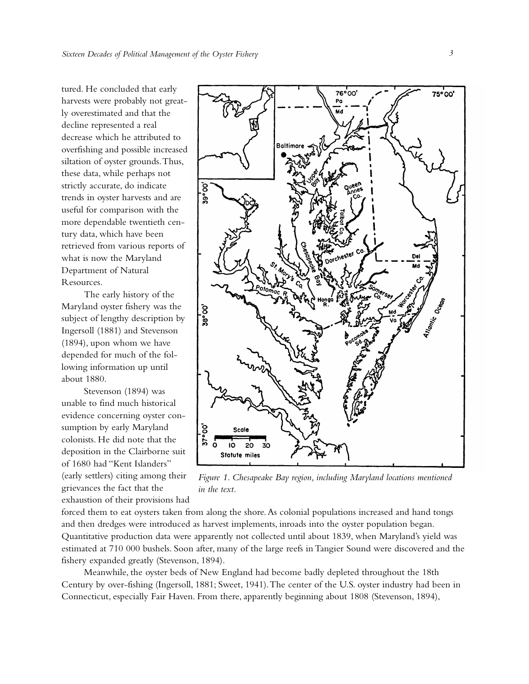tured. He concluded that early harvests were probably not greatly overestimated and that the decline represented a real decrease which he attributed to overfishing and possible increased siltation of oyster grounds.Thus, these data, while perhaps not strictly accurate, do indicate trends in oyster harvests and are useful for comparison with the more dependable twentieth century data, which have been retrieved from various reports of what is now the Maryland Department of Natural Resources.

The early history of the Maryland oyster fishery was the subject of lengthy description by Ingersoll (1881) and Stevenson (1894), upon whom we have depended for much of the following information up until about 1880.

Stevenson (1894) was unable to find much historical evidence concerning oyster consumption by early Maryland colonists. He did note that the deposition in the Clairborne suit of 1680 had "Kent Islanders" (early settlers) citing among their grievances the fact that the exhaustion of their provisions had



*Figure 1. Chesapeake Bay region, including Maryland locations mentioned in the text.*

forced them to eat oysters taken from along the shore. As colonial populations increased and hand tongs and then dredges were introduced as harvest implements, inroads into the oyster population began. Quantitative production data were apparently not collected until about 1839, when Maryland's yield was estimated at 710 000 bushels. Soon after, many of the large reefs in Tangier Sound were discovered and the fishery expanded greatly (Stevenson, 1894).

Meanwhile, the oyster beds of New England had become badly depleted throughout the 18th Century by over-fishing (Ingersoll, 1881; Sweet, 1941).The center of the U.S. oyster industry had been in Connecticut, especially Fair Haven. From there, apparently beginning about 1808 (Stevenson, 1894),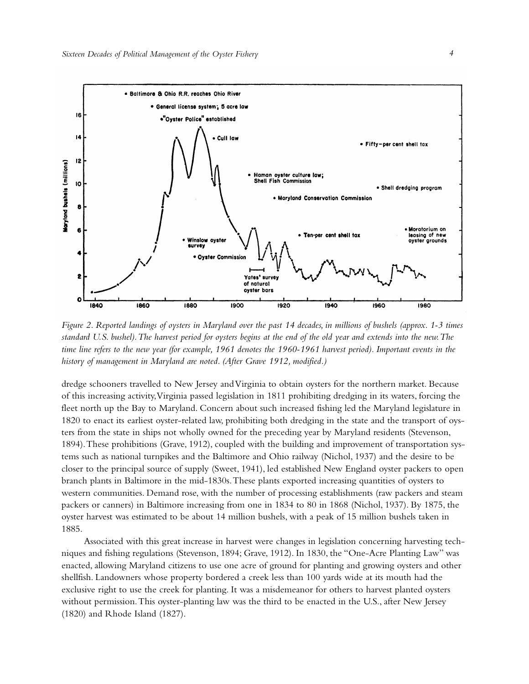

*Figure 2. Reported landings of oysters in Maryland over the past 14 decades, in millions of bushels (approx. 1-3 times standard U.S. bushel).The harvest period for oysters begins at the end of the old year and extends into the new.The time line refers to the new year (for example, 1961 denotes the 1960-1961 harvest period). Important events in the history of management in Maryland are noted. (After Grave 1912, modified.)*

dredge schooners travelled to New Jersey and Virginia to obtain oysters for the northern market. Because of this increasing activity,Virginia passed legislation in 1811 prohibiting dredging in its waters, forcing the fleet north up the Bay to Maryland. Concern about such increased fishing led the Maryland legislature in 1820 to enact its earliest oyster-related law, prohibiting both dredging in the state and the transport of oysters from the state in ships not wholly owned for the preceding year by Maryland residents (Stevenson, 1894).These prohibitions (Grave, 1912), coupled with the building and improvement of transportation systems such as national turnpikes and the Baltimore and Ohio railway (Nichol, 1937) and the desire to be closer to the principal source of supply (Sweet, 1941), led established New England oyster packers to open branch plants in Baltimore in the mid-1830s.These plants exported increasing quantities of oysters to western communities. Demand rose, with the number of processing establishments (raw packers and steam packers or canners) in Baltimore increasing from one in 1834 to 80 in 1868 (Nichol, 1937). By 1875, the oyster harvest was estimated to be about 14 million bushels, with a peak of 15 million bushels taken in 1885.

Associated with this great increase in harvest were changes in legislation concerning harvesting techniques and fishing regulations (Stevenson, 1894; Grave, 1912). In 1830, the "One-Acre Planting Law" was enacted, allowing Maryland citizens to use one acre of ground for planting and growing oysters and other shellfish. Landowners whose property bordered a creek less than 100 yards wide at its mouth had the exclusive right to use the creek for planting. It was a misdemeanor for others to harvest planted oysters without permission.This oyster-planting law was the third to be enacted in the U.S., after New Jersey (1820) and Rhode Island (1827).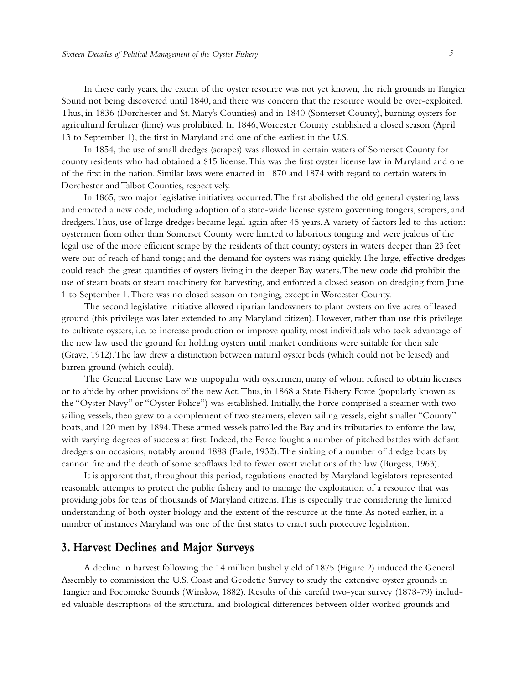In these early years, the extent of the oyster resource was not yet known, the rich grounds in Tangier Sound not being discovered until 1840, and there was concern that the resource would be over-exploited. Thus, in 1836 (Dorchester and St. Mary's Counties) and in 1840 (Somerset County), burning oysters for agricultural fertilizer (lime) was prohibited. In 1846,Worcester County established a closed season (April 13 to September 1), the first in Maryland and one of the earliest in the U.S.

In 1854, the use of small dredges (scrapes) was allowed in certain waters of Somerset County for county residents who had obtained a \$15 license.This was the first oyster license law in Maryland and one of the first in the nation. Similar laws were enacted in 1870 and 1874 with regard to certain waters in Dorchester and Talbot Counties, respectively.

In 1865, two major legislative initiatives occurred.The first abolished the old general oystering laws and enacted a new code, including adoption of a state-wide license system governing tongers, scrapers, and dredgers.Thus, use of large dredges became legal again after 45 years.A variety of factors led to this action: oystermen from other than Somerset County were limited to laborious tonging and were jealous of the legal use of the more efficient scrape by the residents of that county; oysters in waters deeper than 23 feet were out of reach of hand tongs; and the demand for oysters was rising quickly.The large, effective dredges could reach the great quantities of oysters living in the deeper Bay waters.The new code did prohibit the use of steam boats or steam machinery for harvesting, and enforced a closed season on dredging from June 1 to September 1.There was no closed season on tonging, except in Worcester County.

The second legislative initiative allowed riparian landowners to plant oysters on five acres of leased ground (this privilege was later extended to any Maryland citizen). However, rather than use this privilege to cultivate oysters, i.e. to increase production or improve quality, most individuals who took advantage of the new law used the ground for holding oysters until market conditions were suitable for their sale (Grave, 1912).The law drew a distinction between natural oyster beds (which could not be leased) and barren ground (which could).

The General License Law was unpopular with oystermen, many of whom refused to obtain licenses or to abide by other provisions of the new Act.Thus, in 1868 a State Fishery Force (popularly known as the "Oyster Navy" or "Oyster Police") was established. Initially, the Force comprised a steamer with two sailing vessels, then grew to a complement of two steamers, eleven sailing vessels, eight smaller "County" boats, and 120 men by 1894. These armed vessels patrolled the Bay and its tributaries to enforce the law, with varying degrees of success at first. Indeed, the Force fought a number of pitched battles with defiant dredgers on occasions, notably around 1888 (Earle, 1932).The sinking of a number of dredge boats by cannon fire and the death of some scofflaws led to fewer overt violations of the law (Burgess, 1963).

It is apparent that, throughout this period, regulations enacted by Maryland legislators represented reasonable attempts to protect the public fishery and to manage the exploitation of a resource that was providing jobs for tens of thousands of Maryland citizens.This is especially true considering the limited understanding of both oyster biology and the extent of the resource at the time.As noted earlier, in a number of instances Maryland was one of the first states to enact such protective legislation.

#### **3. Harvest Declines and Major Surveys**

A decline in harvest following the 14 million bushel yield of 1875 (Figure 2) induced the General Assembly to commission the U.S. Coast and Geodetic Survey to study the extensive oyster grounds in Tangier and Pocomoke Sounds (Winslow, 1882). Results of this careful two-year survey (1878-79) included valuable descriptions of the structural and biological differences between older worked grounds and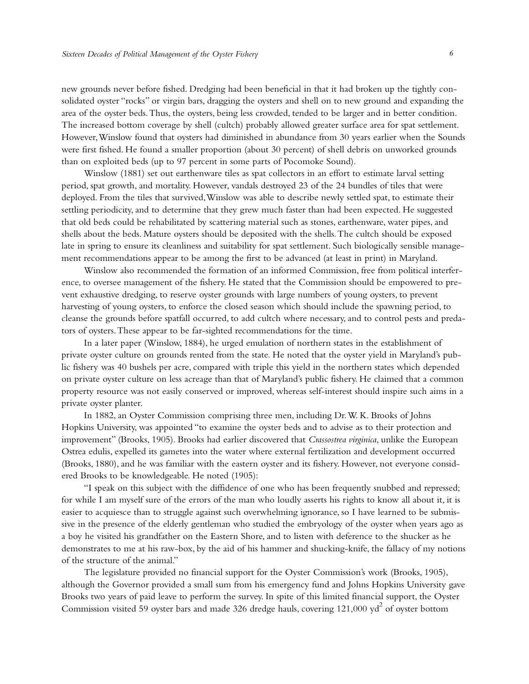new grounds never before fished. Dredging had been beneficial in that it had broken up the tightly consolidated oyster "rocks" or virgin bars, dragging the oysters and shell on to new ground and expanding the area of the oyster beds.Thus, the oysters, being less crowded, tended to be larger and in better condition. The increased bottom coverage by shell (cultch) probably allowed greater surface area for spat settlement. However,Winslow found that oysters had diminished in abundance from 30 years earlier when the Sounds were first fished. He found a smaller proportion (about 30 percent) of shell debris on unworked grounds than on exploited beds (up to 97 percent in some parts of Pocomoke Sound).

Winslow (1881) set out earthenware tiles as spat collectors in an effort to estimate larval setting period, spat growth, and mortality. However, vandals destroyed 23 of the 24 bundles of tiles that were deployed. From the tiles that survived,Winslow was able to describe newly settled spat, to estimate their settling periodicity, and to determine that they grew much faster than had been expected. He suggested that old beds could be rehabilitated by scattering material such as stones, earthenware, water pipes, and shells about the beds. Mature oysters should be deposited with the shells.The cultch should be exposed late in spring to ensure its cleanliness and suitability for spat settlement. Such biologically sensible management recommendations appear to be among the first to be advanced (at least in print) in Maryland.

Winslow also recommended the formation of an informed Commission, free from political interference, to oversee management of the fishery. He stated that the Commission should be empowered to prevent exhaustive dredging, to reserve oyster grounds with large numbers of young oysters, to prevent harvesting of young oysters, to enforce the closed season which should include the spawning period, to cleanse the grounds before spatfall occurred, to add cultch where necessary, and to control pests and predators of oysters.These appear to be far-sighted recommendations for the time.

In a later paper (Winslow, 1884), he urged emulation of northern states in the establishment of private oyster culture on grounds rented from the state. He noted that the oyster yield in Maryland's public fishery was 40 bushels per acre, compared with triple this yield in the northern states which depended on private oyster culture on less acreage than that of Maryland's public fishery. He claimed that a common property resource was not easily conserved or improved, whereas self-interest should inspire such aims in a private oyster planter.

In 1882, an Oyster Commission comprising three men, including Dr.W. K. Brooks of Johns Hopkins University, was appointed "to examine the oyster beds and to advise as to their protection and improvement" (Brooks, 1905). Brooks had earlier discovered that *Crassostrea virginica*, unlike the European Ostrea edulis, expelled its gametes into the water where external fertilization and development occurred (Brooks, 1880), and he was familiar with the eastern oyster and its fishery. However, not everyone considered Brooks to be knowledgeable. He noted (1905):

"I speak on this subject with the diffidence of one who has been frequently snubbed and repressed; for while I am myself sure of the errors of the man who loudly asserts his rights to know all about it, it is easier to acquiesce than to struggle against such overwhelming ignorance, so I have learned to be submissive in the presence of the elderly gentleman who studied the embryology of the oyster when years ago as a boy he visited his grandfather on the Eastern Shore, and to listen with deference to the shucker as he demonstrates to me at his raw-box, by the aid of his hammer and shucking-knife, the fallacy of my notions of the structure of the animal."

The legislature provided no financial support for the Oyster Commission's work (Brooks, 1905), although the Governor provided a small sum from his emergency fund and Johns Hopkins University gave Brooks two years of paid leave to perform the survey. In spite of this limited financial support, the Oyster Commission visited 59 oyster bars and made 326 dredge hauls, covering  $121,000$  yd<sup>2</sup> of oyster bottom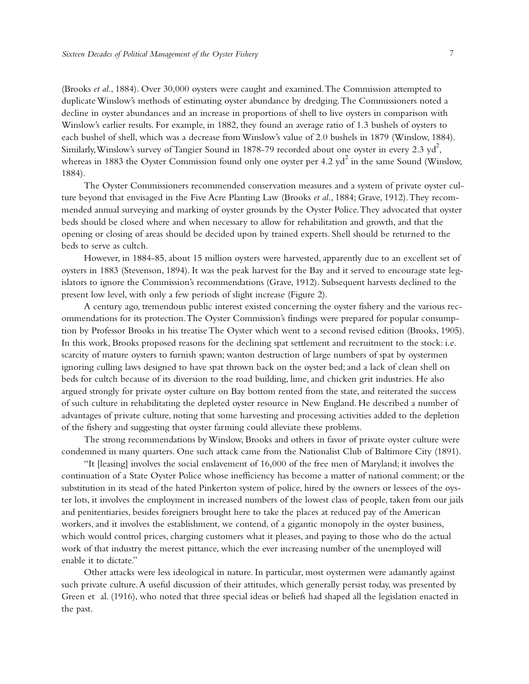(Brooks *et al*., 1884). Over 30,000 oysters were caught and examined.The Commission attempted to duplicate Winslow's methods of estimating oyster abundance by dredging.The Commissioners noted a decline in oyster abundances and an increase in proportions of shell to live oysters in comparison with Winslow's earlier results. For example, in 1882, they found an average ratio of 1.3 bushels of oysters to each bushel of shell, which was a decrease from Winslow's value of 2.0 bushels in 1879 (Winslow, 1884). Similarly, Winslow's survey of Tangier Sound in 1878-79 recorded about one oyster in every 2.3  $\mathrm{yd}^2$ , whereas in 1883 the Oyster Commission found only one oyster per 4.2  $yd^2$  in the same Sound (Winslow, 1884).

The Oyster Commissioners recommended conservation measures and a system of private oyster culture beyond that envisaged in the Five Acre Planting Law (Brooks *et al*., 1884; Grave, 1912).They recommended annual surveying and marking of oyster grounds by the Oyster Police.They advocated that oyster beds should be closed where and when necessary to allow for rehabilitation and growth, and that the opening or closing of areas should be decided upon by trained experts. Shell should be returned to the beds to serve as cultch.

However, in 1884-85, about 15 million oysters were harvested, apparently due to an excellent set of oysters in 1883 (Stevenson, 1894). It was the peak harvest for the Bay and it served to encourage state legislators to ignore the Commission's recommendations (Grave, 1912). Subsequent harvests declined to the present low level, with only a few periods of slight increase (Figure 2).

A century ago, tremendous public interest existed concerning the oyster fishery and the various recommendations for its protection.The Oyster Commission's findings were prepared for popular consumption by Professor Brooks in his treatise The Oyster which went to a second revised edition (Brooks, 1905). In this work, Brooks proposed reasons for the declining spat settlement and recruitment to the stock: i.e. scarcity of mature oysters to furnish spawn; wanton destruction of large numbers of spat by oystermen ignoring culling laws designed to have spat thrown back on the oyster bed; and a lack of clean shell on beds for cultch because of its diversion to the road building, lime, and chicken grit industries. He also argued strongly for private oyster culture on Bay bottom rented from the state, and reiterated the success of such culture in rehabilitating the depleted oyster resource in New England. He described a number of advantages of private culture, noting that some harvesting and processing activities added to the depletion of the fishery and suggesting that oyster farming could alleviate these problems.

The strong recommendations byWinslow, Brooks and others in favor of private oyster culture were condemned in many quarters. One such attack came from the Nationalist Club of Baltimore City (1891).

"It [leasing] involves the social enslavement of 16,000 of the free men of Maryland; it involves the continuation of a State Oyster Police whose inefficiency has become a matter of national comment; or the substitution in its stead of the hated Pinkerton system of police, hired by the owners or lessees of the oyster lots, it involves the employment in increased numbers of the lowest class of people, taken from our jails and penitentiaries, besides foreigners brought here to take the places at reduced pay of the American workers, and it involves the establishment, we contend, of a gigantic monopoly in the oyster business, which would control prices, charging customers what it pleases, and paying to those who do the actual work of that industry the merest pittance, which the ever increasing number of the unemployed will enable it to dictate."

Other attacks were less ideological in nature. In particular, most oystermen were adamantly against such private culture.A useful discussion of their attitudes, which generally persist today, was presented by Green et al. (1916), who noted that three special ideas or beliefs had shaped all the legislation enacted in the past.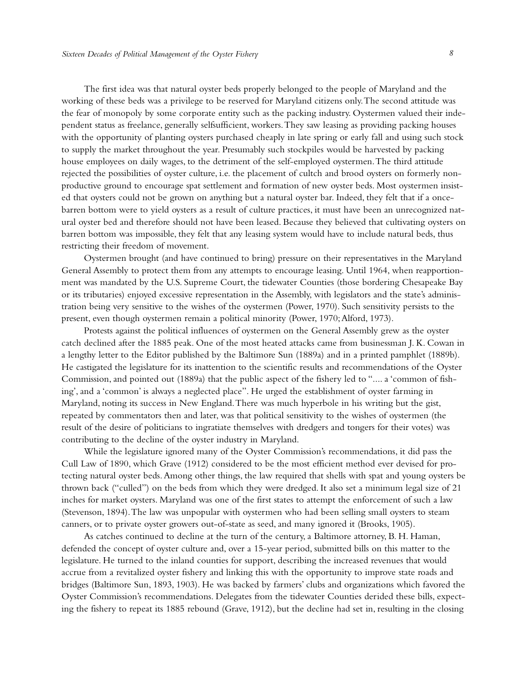The first idea was that natural oyster beds properly belonged to the people of Maryland and the working of these beds was a privilege to be reserved for Maryland citizens only.The second attitude was the fear of monopoly by some corporate entity such as the packing industry. Oystermen valued their independent status as freelance, generally selfsufficient, workers.They saw leasing as providing packing houses with the opportunity of planting oysters purchased cheaply in late spring or early fall and using such stock to supply the market throughout the year. Presumably such stockpiles would be harvested by packing house employees on daily wages, to the detriment of the self-employed oystermen.The third attitude rejected the possibilities of oyster culture, i.e. the placement of cultch and brood oysters on formerly nonproductive ground to encourage spat settlement and formation of new oyster beds. Most oystermen insisted that oysters could not be grown on anything but a natural oyster bar. Indeed, they felt that if a oncebarren bottom were to yield oysters as a result of culture practices, it must have been an unrecognized natural oyster bed and therefore should not have been leased. Because they believed that cultivating oysters on barren bottom was impossible, they felt that any leasing system would have to include natural beds, thus restricting their freedom of movement.

Oystermen brought (and have continued to bring) pressure on their representatives in the Maryland General Assembly to protect them from any attempts to encourage leasing. Until 1964, when reapportionment was mandated by the U.S. Supreme Court, the tidewater Counties (those bordering Chesapeake Bay or its tributaries) enjoyed excessive representation in the Assembly, with legislators and the state's administration being very sensitive to the wishes of the oystermen (Power, 1970). Such sensitivity persists to the present, even though oystermen remain a political minority (Power, 1970; Alford, 1973).

Protests against the political influences of oystermen on the General Assembly grew as the oyster catch declined after the 1885 peak. One of the most heated attacks came from businessman J. K. Cowan in a lengthy letter to the Editor published by the Baltimore Sun (1889a) and in a printed pamphlet (1889b). He castigated the legislature for its inattention to the scientific results and recommendations of the Oyster Commission, and pointed out (1889a) that the public aspect of the fishery led to ".... a 'common of fishing',and a 'common' is always a neglected place". He urged the establishment of oyster farming in Maryland, noting its success in New England.There was much hyperbole in his writing but the gist, repeated by commentators then and later, was that political sensitivity to the wishes of oystermen (the result of the desire of politicians to ingratiate themselves with dredgers and tongers for their votes) was contributing to the decline of the oyster industry in Maryland.

While the legislature ignored many of the Oyster Commission's recommendations, it did pass the Cull Law of 1890, which Grave (1912) considered to be the most efficient method ever devised for protecting natural oyster beds.Among other things, the law required that shells with spat and young oysters be thrown back ("culled") on the beds from which they were dredged. It also set a minimum legal size of 21 inches for market oysters. Maryland was one of the first states to attempt the enforcement of such a law (Stevenson, 1894).The law was unpopular with oystermen who had been selling small oysters to steam canners, or to private oyster growers out-of-state as seed, and many ignored it (Brooks, 1905).

As catches continued to decline at the turn of the century, a Baltimore attorney, B. H. Haman, defended the concept of oyster culture and, over a 15-year period, submitted bills on this matter to the legislature. He turned to the inland counties for support, describing the increased revenues that would accrue from a revitalized oyster fishery and linking this with the opportunity to improve state roads and bridges (Baltimore Sun, 1893, 1903). He was backed by farmers' clubs and organizations which favored the Oyster Commission's recommendations. Delegates from the tidewater Counties derided these bills, expecting the fishery to repeat its 1885 rebound (Grave, 1912), but the decline had set in, resulting in the closing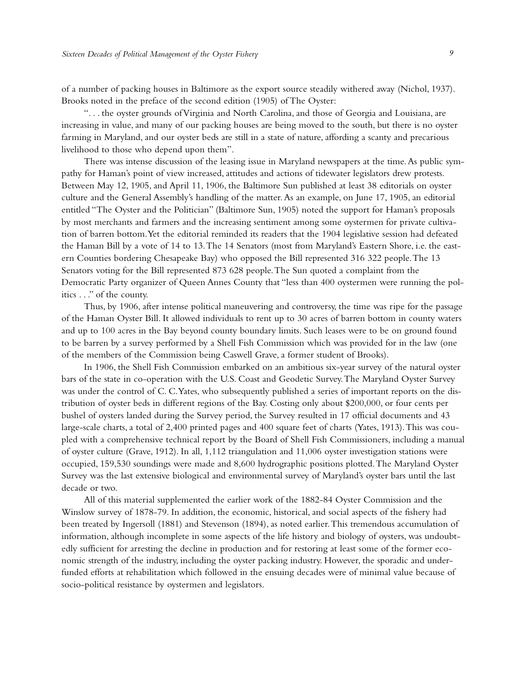of a number of packing houses in Baltimore as the export source steadily withered away (Nichol, 1937). Brooks noted in the preface of the second edition (1905) of The Oyster:

". . . the oyster grounds of Virginia and North Carolina, and those of Georgia and Louisiana, are increasing in value, and many of our packing houses are being moved to the south, but there is no oyster farming in Maryland, and our oyster beds are still in a state of nature, affording a scanty and precarious livelihood to those who depend upon them".

There was intense discussion of the leasing issue in Maryland newspapers at the time. As public sympathy for Haman's point of view increased, attitudes and actions of tidewater legislators drew protests. Between May 12, 1905, and April 11, 1906, the Baltimore Sun published at least 38 editorials on oyster culture and the General Assembly's handling of the matter. As an example, on June 17, 1905, an editorial entitled "The Oyster and the Politician" (Baltimore Sun, 1905) noted the support for Haman's proposals by most merchants and farmers and the increasing sentiment among some oystermen for private cultivation of barren bottom.Yet the editorial reminded its readers that the 1904 legislative session had defeated the Haman Bill by a vote of 14 to 13.The 14 Senators (most from Maryland's Eastern Shore, i.e. the eastern Counties bordering Chesapeake Bay) who opposed the Bill represented 316 322 people.The 13 Senators voting for the Bill represented 873 628 people.The Sun quoted a complaint from the Democratic Party organizer of Queen Annes County that "less than 400 oystermen were running the politics . . ." of the county.

Thus, by 1906, after intense political maneuvering and controversy, the time was ripe for the passage of the Haman Oyster Bill. It allowed individuals to rent up to 30 acres of barren bottom in county waters and up to 100 acres in the Bay beyond county boundary limits. Such leases were to be on ground found to be barren by a survey performed by a Shell Fish Commission which was provided for in the law (one of the members of the Commission being Caswell Grave, a former student of Brooks).

In 1906, the Shell Fish Commission embarked on an ambitious six-year survey of the natural oyster bars of the state in co-operation with the U.S. Coast and Geodetic Survey.The Maryland Oyster Survey was under the control of C. C.Yates, who subsequently published a series of important reports on the distribution of oyster beds in different regions of the Bay. Costing only about \$200,000, or four cents per bushel of oysters landed during the Survey period, the Survey resulted in 17 official documents and 43 large-scale charts, a total of 2,400 printed pages and 400 square feet of charts (Yates, 1913). This was coupled with a comprehensive technical report by the Board of Shell Fish Commissioners, including a manual of oyster culture (Grave, 1912). In all, 1,112 triangulation and 11,006 oyster investigation stations were occupied, 159,530 soundings were made and 8,600 hydrographic positions plotted.The Maryland Oyster Survey was the last extensive biological and environmental survey of Maryland's oyster bars until the last decade or two.

All of this material supplemented the earlier work of the 1882-84 Oyster Commission and the Winslow survey of 1878-79. In addition, the economic, historical, and social aspects of the fishery had been treated by Ingersoll (1881) and Stevenson (1894), as noted earlier.This tremendous accumulation of information, although incomplete in some aspects of the life history and biology of oysters, was undoubtedly sufficient for arresting the decline in production and for restoring at least some of the former economic strength of the industry, including the oyster packing industry. However, the sporadic and underfunded efforts at rehabilitation which followed in the ensuing decades were of minimal value because of socio-political resistance by oystermen and legislators.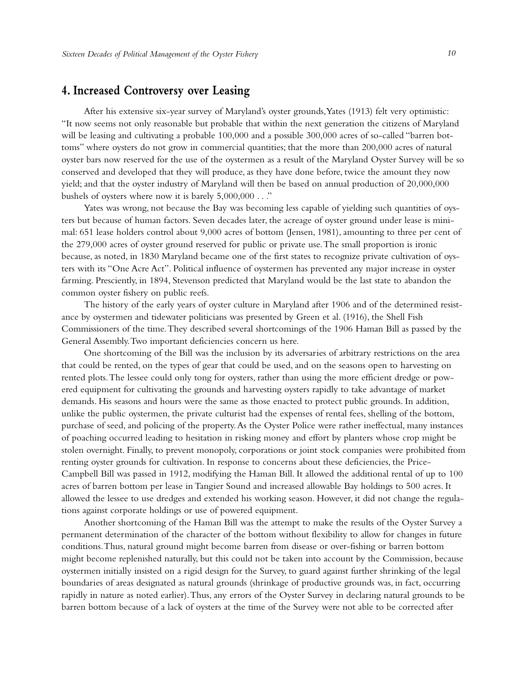## **4. Increased Controversy over Leasing**

After his extensive six-year survey of Maryland's oyster grounds,Yates (1913) felt very optimistic: "It now seems not only reasonable but probable that within the next generation the citizens of Maryland will be leasing and cultivating a probable 100,000 and a possible 300,000 acres of so-called "barren bottoms" where oysters do not grow in commercial quantities; that the more than 200,000 acres of natural oyster bars now reserved for the use of the oystermen as a result of the Maryland Oyster Survey will be so conserved and developed that they will produce, as they have done before, twice the amount they now yield; and that the oyster industry of Maryland will then be based on annual production of 20,000,000 bushels of oysters where now it is barely 5,000,000 . . ."

Yates was wrong, not because the Bay was becoming less capable of yielding such quantities of oysters but because of human factors. Seven decades later, the acreage of oyster ground under lease is minimal: 651 lease holders control about 9,000 acres of bottom (Jensen, 1981), amounting to three per cent of the 279,000 acres of oyster ground reserved for public or private use.The small proportion is ironic because, as noted, in 1830 Maryland became one of the first states to recognize private cultivation of oysters with its "One Acre Act". Political influence of oystermen has prevented any major increase in oyster farming. Presciently, in 1894, Stevenson predicted that Maryland would be the last state to abandon the common oyster fishery on public reefs.

The history of the early years of oyster culture in Maryland after 1906 and of the determined resistance by oystermen and tidewater politicians was presented by Green et al. (1916), the Shell Fish Commissioners of the time.They described several shortcomings of the 1906 Haman Bill as passed by the General Assembly.Two important deficiencies concern us here.

One shortcoming of the Bill was the inclusion by its adversaries of arbitrary restrictions on the area that could be rented, on the types of gear that could be used, and on the seasons open to harvesting on rented plots.The lessee could only tong for oysters, rather than using the more efficient dredge or powered equipment for cultivating the grounds and harvesting oysters rapidly to take advantage of market demands. His seasons and hours were the same as those enacted to protect public grounds. In addition, unlike the public oystermen, the private culturist had the expenses of rental fees, shelling of the bottom, purchase of seed, and policing of the property.As the Oyster Police were rather ineffectual, many instances of poaching occurred leading to hesitation in risking money and effort by planters whose crop might be stolen overnight. Finally, to prevent monopoly, corporations or joint stock companies were prohibited from renting oyster grounds for cultivation. In response to concerns about these deficiencies, the Price-Campbell Bill was passed in 1912, modifying the Haman Bill. It allowed the additional rental of up to 100 acres of barren bottom per lease in Tangier Sound and increased allowable Bay holdings to 500 acres. It allowed the lessee to use dredges and extended his working season. However, it did not change the regulations against corporate holdings or use of powered equipment.

Another shortcoming of the Haman Bill was the attempt to make the results of the Oyster Survey a permanent determination of the character of the bottom without flexibility to allow for changes in future conditions.Thus, natural ground might become barren from disease or over-fishing or barren bottom might become replenished naturally, but this could not be taken into account by the Commission, because oystermen initially insisted on a rigid design for the Survey, to guard against further shrinking of the legal boundaries of areas designated as natural grounds (shrinkage of productive grounds was, in fact, occurring rapidly in nature as noted earlier).Thus, any errors of the Oyster Survey in declaring natural grounds to be barren bottom because of a lack of oysters at the time of the Survey were not able to be corrected after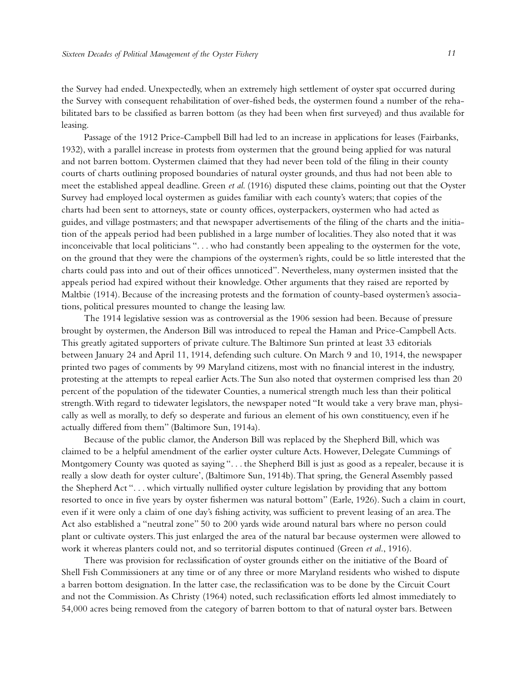the Survey had ended. Unexpectedly, when an extremely high settlement of oyster spat occurred during the Survey with consequent rehabilitation of over-fished beds, the oystermen found a number of the rehabilitated bars to be classified as barren bottom (as they had been when first surveyed) and thus available for leasing.

Passage of the 1912 Price-Campbell Bill had led to an increase in applications for leases (Fairbanks, 1932), with a parallel increase in protests from oystermen that the ground being applied for was natural and not barren bottom. Oystermen claimed that they had never been told of the filing in their county courts of charts outlining proposed boundaries of natural oyster grounds, and thus had not been able to meet the established appeal deadline. Green *et al*. (1916) disputed these claims, pointing out that the Oyster Survey had employed local oystermen as guides familiar with each county's waters; that copies of the charts had been sent to attorneys, state or county offices, oysterpackers, oystermen who had acted as guides,and village postmasters; and that newspaper advertisements of the filing of the charts and the initiation of the appeals period had been published in a large number of localities.They also noted that it was inconceivable that local politicians ". . . who had constantly been appealing to the oystermen for the vote, on the ground that they were the champions of the oystermen's rights, could be so little interested that the charts could pass into and out of their offices unnoticed". Nevertheless, many oystermen insisted that the appeals period had expired without their knowledge. Other arguments that they raised are reported by Maltbie (1914). Because of the increasing protests and the formation of county-based oystermen's associations, political pressures mounted to change the leasing law.

The 1914 legislative session was as controversial as the 1906 session had been. Because of pressure brought by oystermen, the Anderson Bill was introduced to repeal the Haman and Price-Campbell Acts. This greatly agitated supporters of private culture.The Baltimore Sun printed at least 33 editorials between January 24 and April 11, 1914, defending such culture. On March 9 and 10, 1914, the newspaper printed two pages of comments by 99 Maryland citizens, most with no financial interest in the industry, protesting at the attempts to repeal earlier Acts.The Sun also noted that oystermen comprised less than 20 percent of the population of the tidewater Counties, a numerical strength much less than their political strength.With regard to tidewater legislators, the newspaper noted "It would take a very brave man, physically as well as morally, to defy so desperate and furious an element of his own constituency, even if he actually differed from them" (Baltimore Sun, 1914a).

Because of the public clamor, the Anderson Bill was replaced by the Shepherd Bill, which was claimed to be a helpful amendment of the earlier oyster culture Acts. However, Delegate Cummings of Montgomery County was quoted as saying ". . . the Shepherd Bill is just as good as a repealer, because it is really a slow death for oyster culture', (Baltimore Sun, 1914b).That spring, the General Assembly passed the Shepherd Act ". . . which virtually nullified oyster culture legislation by providing that any bottom resorted to once in five years by oyster fishermen was natural bottom" (Earle, 1926). Such a claim in court, even if it were only a claim of one day's fishing activity, was sufficient to prevent leasing of an area.The Act also established a "neutral zone" 50 to 200 yards wide around natural bars where no person could plant or cultivate oysters.This just enlarged the area of the natural bar because oystermen were allowed to work it whereas planters could not, and so territorial disputes continued (Green *et al*., 1916).

There was provision for reclassification of oyster grounds either on the initiative of the Board of Shell Fish Commissioners at any time or of any three or more Maryland residents who wished to dispute a barren bottom designation. In the latter case, the reclassification was to be done by the Circuit Court and not the Commission.As Christy (1964) noted, such reclassification efforts led almost immediately to 54,000 acres being removed from the category of barren bottom to that of natural oyster bars. Between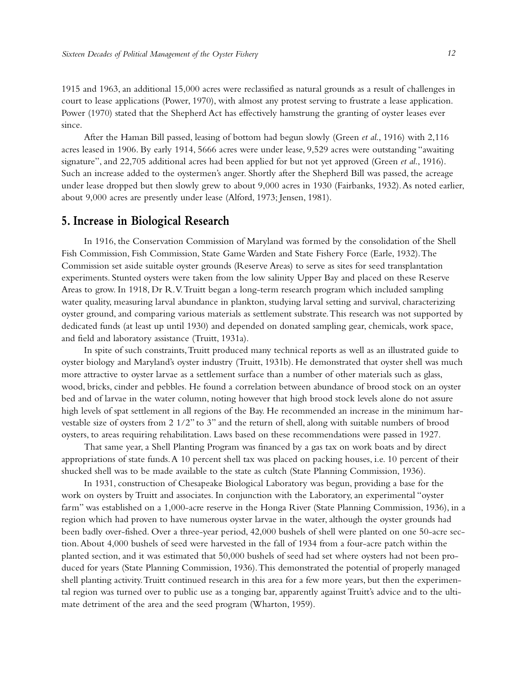1915 and 1963, an additional 15,000 acres were reclassified as natural grounds as a result of challenges in court to lease applications (Power, 1970), with almost any protest serving to frustrate a lease application. Power (1970) stated that the Shepherd Act has effectively hamstrung the granting of oyster leases ever since.

After the Haman Bill passed, leasing of bottom had begun slowly (Green *et al*., 1916) with 2,116 acres leased in 1906. By early 1914, 5666 acres were under lease, 9,529 acres were outstanding "awaiting signature", and 22,705 additional acres had been applied for but not yet approved (Green *et al*., 1916). Such an increase added to the oystermen's anger. Shortly after the Shepherd Bill was passed, the acreage under lease dropped but then slowly grew to about 9,000 acres in 1930 (Fairbanks, 1932). As noted earlier, about 9,000 acres are presently under lease (Alford, 1973; Jensen, 1981).

#### **5. Increase in Biological Research**

In 1916, the Conservation Commission of Maryland was formed by the consolidation of the Shell Fish Commission, Fish Commission, State Game Warden and State Fishery Force (Earle, 1932).The Commission set aside suitable oyster grounds (Reserve Areas) to serve as sites for seed transplantation experiments. Stunted oysters were taken from the low salinity Upper Bay and placed on these Reserve Areas to grow. In 1918, Dr R.V.Truitt began a long-term research program which included sampling water quality, measuring larval abundance in plankton, studying larval setting and survival, characterizing oyster ground, and comparing various materials as settlement substrate.This research was not supported by dedicated funds (at least up until 1930) and depended on donated sampling gear, chemicals, work space, and field and laboratory assistance (Truitt, 1931a).

In spite of such constraints,Truitt produced many technical reports as well as an illustrated guide to oyster biology and Maryland's oyster industry (Truitt, 1931b). He demonstrated that oyster shell was much more attractive to oyster larvae as a settlement surface than a number of other materials such as glass, wood, bricks, cinder and pebbles. He found a correlation between abundance of brood stock on an oyster bed and of larvae in the water column, noting however that high brood stock levels alone do not assure high levels of spat settlement in all regions of the Bay. He recommended an increase in the minimum harvestable size of oysters from 2 1/2" to 3" and the return of shell, along with suitable numbers of brood oysters, to areas requiring rehabilitation. Laws based on these recommendations were passed in 1927.

That same year, a Shell Planting Program was financed by a gas tax on work boats and by direct appropriations of state funds.A 10 percent shell tax was placed on packing houses, i.e. 10 percent of their shucked shell was to be made available to the state as cultch (State Planning Commission, 1936).

In 1931, construction of Chesapeake Biological Laboratory was begun, providing a base for the work on oysters by Truitt and associates. In conjunction with the Laboratory, an experimental "oyster farm" was established on a 1,000-acre reserve in the Honga River (State Planning Commission, 1936), in a region which had proven to have numerous oyster larvae in the water, although the oyster grounds had been badly over-fished. Over a three-year period, 42,000 bushels of shell were planted on one 50-acre section.About 4,000 bushels of seed were harvested in the fall of 1934 from a four-acre patch within the planted section, and it was estimated that 50,000 bushels of seed had set where oysters had not been produced for years (State Planning Commission, 1936).This demonstrated the potential of properly managed shell planting activity.Truitt continued research in this area for a few more years, but then the experimental region was turned over to public use as a tonging bar, apparently against Truitt's advice and to the ultimate detriment of the area and the seed program (Wharton, 1959).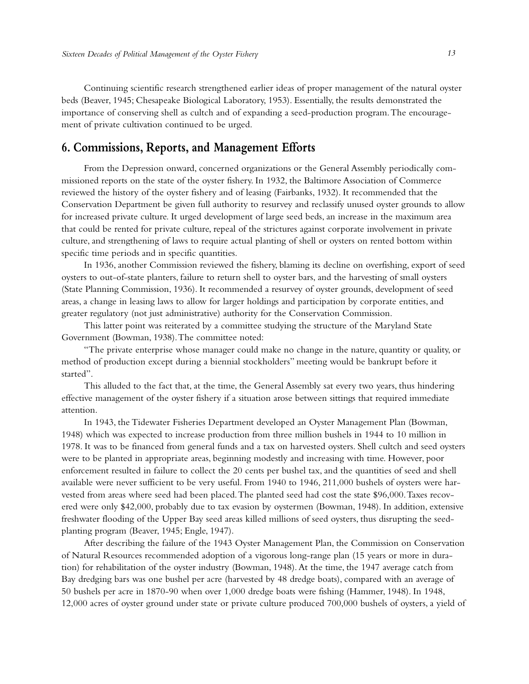Continuing scientific research strengthened earlier ideas of proper management of the natural oyster beds (Beaver, 1945; Chesapeake Biological Laboratory, 1953). Essentially, the results demonstrated the importance of conserving shell as cultch and of expanding a seed-production program.The encouragement of private cultivation continued to be urged.

#### **6. Commissions, Reports, and Management Efforts**

From the Depression onward, concerned organizations or the General Assembly periodically commissioned reports on the state of the oyster fishery. In 1932, the Baltimore Association of Commerce reviewed the history of the oyster fishery and of leasing (Fairbanks, 1932). It recommended that the Conservation Department be given full authority to resurvey and reclassify unused oyster grounds to allow for increased private culture. It urged development of large seed beds, an increase in the maximum area that could be rented for private culture, repeal of the strictures against corporate involvement in private culture, and strengthening of laws to require actual planting of shell or oysters on rented bottom within specific time periods and in specific quantities.

In 1936, another Commission reviewed the fishery, blaming its decline on overfishing, export of seed oysters to out-of-state planters, failure to return shell to oyster bars, and the harvesting of small oysters (State Planning Commission, 1936). It recommended a resurvey of oyster grounds, development of seed areas, a change in leasing laws to allow for larger holdings and participation by corporate entities, and greater regulatory (not just administrative) authority for the Conservation Commission.

This latter point was reiterated by a committee studying the structure of the Maryland State Government (Bowman, 1938).The committee noted:

"The private enterprise whose manager could make no change in the nature, quantity or quality, or method of production except during a biennial stockholders" meeting would be bankrupt before it started".

This alluded to the fact that, at the time, the General Assembly sat every two years, thus hindering effective management of the oyster fishery if a situation arose between sittings that required immediate attention.

In 1943, the Tidewater Fisheries Department developed an Oyster Management Plan (Bowman, 1948) which was expected to increase production from three million bushels in 1944 to 10 million in 1978. It was to be financed from general funds and a tax on harvested oysters. Shell cultch and seed oysters were to be planted in appropriate areas, beginning modestly and increasing with time. However, poor enforcement resulted in failure to collect the 20 cents per bushel tax, and the quantities of seed and shell available were never sufficient to be very useful. From 1940 to 1946, 211,000 bushels of oysters were harvested from areas where seed had been placed.The planted seed had cost the state \$96,000.Taxes recovered were only \$42,000, probably due to tax evasion by oystermen (Bowman, 1948). In addition, extensive freshwater flooding of the Upper Bay seed areas killed millions of seed oysters, thus disrupting the seedplanting program (Beaver, 1945; Engle, 1947).

After describing the failure of the 1943 Oyster Management Plan, the Commission on Conservation of Natural Resources recommended adoption of a vigorous long-range plan (15 years or more in duration) for rehabilitation of the oyster industry (Bowman, 1948).At the time, the 1947 average catch from Bay dredging bars was one bushel per acre (harvested by 48 dredge boats), compared with an average of 50 bushels per acre in 1870-90 when over 1,000 dredge boats were fishing (Hammer, 1948). In 1948, 12,000 acres of oyster ground under state or private culture produced 700,000 bushels of oysters, a yield of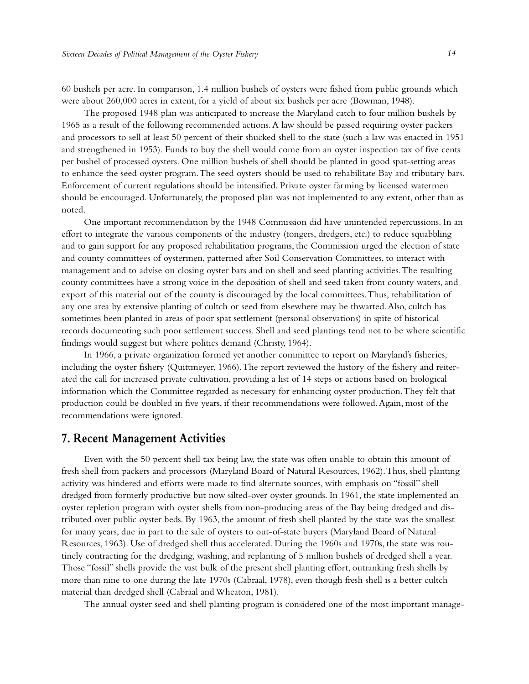60 bushels per acre. In comparison, 1.4 million bushels of oysters were fished from public grounds which were about 260,000 acres in extent, for a yield of about six bushels per acre (Bowman, 1948).

The proposed 1948 plan was anticipated to increase the Maryland catch to four million bushels by 1965 as a result of the following recommended actions.A law should be passed requiring oyster packers and processors to sell at least 50 percent of their shucked shell to the state (such a law was enacted in 1951 and strengthened in 1953). Funds to buy the shell would come from an oyster inspection tax of five cents per bushel of processed oysters. One million bushels of shell should be planted in good spat-setting areas to enhance the seed oyster program.The seed oysters should be used to rehabilitate Bay and tributary bars. Enforcement of current regulations should be intensified. Private oyster farming by licensed watermen should be encouraged. Unfortunately, the proposed plan was not implemented to any extent, other than as noted.

One important recommendation by the 1948 Commission did have unintended repercussions. In an effort to integrate the various components of the industry (tongers, dredgers, etc.) to reduce squabbling and to gain support for any proposed rehabilitation programs, the Commission urged the election of state and county committees of oystermen, patterned after Soil Conservation Committees, to interact with management and to advise on closing oyster bars and on shell and seed planting activities.The resulting county committees have a strong voice in the deposition of shell and seed taken from county waters, and export of this material out of the county is discouraged by the local committees.Thus, rehabilitation of any one area by extensive planting of cultch or seed from elsewhere may be thwarted.Also, cultch has sometimes been planted in areas of poor spat settlement (personal observations) in spite of historical records documenting such poor settlement success. Shell and seed plantings tend not to be where scientific findings would suggest but where politics demand (Christy, 1964).

In 1966, a private organization formed yet another committee to report on Maryland's fisheries, including the oyster fishery (Quittmeyer, 1966).The report reviewed the history of the fishery and reiterated the call for increased private cultivation, providing a list of 14 steps or actions based on biological information which the Committee regarded as necessary for enhancing oyster production.They felt that production could be doubled in five years, if their recommendations were followed.Again, most of the recommendations were ignored.

#### **7. Recent Management Activities**

Even with the 50 percent shell tax being law, the state was often unable to obtain this amount of fresh shell from packers and processors (Maryland Board of Natural Resources, 1962).Thus, shell planting activity was hindered and efforts were made to find alternate sources, with emphasis on "fossil" shell dredged from formerly productive but now silted-over oyster grounds. In 1961, the state implemented an oyster repletion program with oyster shells from non-producing areas of the Bay being dredged and distributed over public oyster beds. By 1963, the amount of fresh shell planted by the state was the smallest for many years, due in part to the sale of oysters to out-of-state buyers (Maryland Board of Natural Resources, 1963). Use of dredged shell thus accelerated. During the 1960s and 1970s, the state was routinely contracting for the dredging, washing, and replanting of 5 million bushels of dredged shell a year. Those "fossil" shells provide the vast bulk of the present shell planting effort, outranking fresh shells by more than nine to one during the late 1970s (Cabraal, 1978), even though fresh shell is a better cultch material than dredged shell (Cabraal and Wheaton, 1981).

The annual oyster seed and shell planting program is considered one of the most important manage-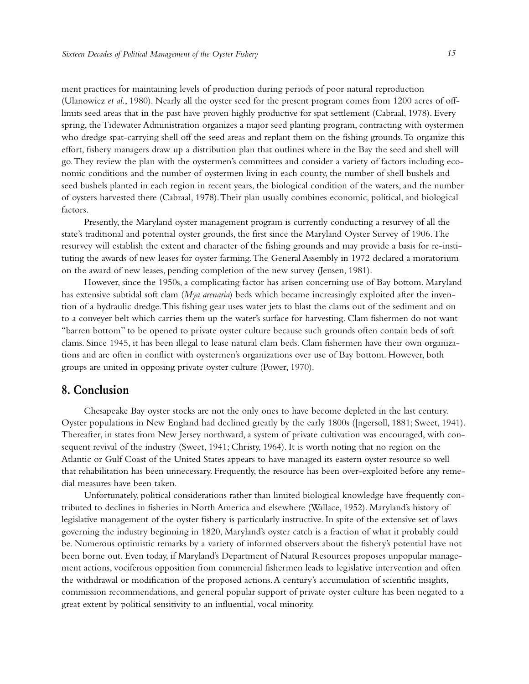ment practices for maintaining levels of production during periods of poor natural reproduction (Ulanowicz *et al*., 1980). Nearly all the oyster seed for the present program comes from 1200 acres of offlimits seed areas that in the past have proven highly productive for spat settlement (Cabraal, 1978). Every spring, the Tidewater Administration organizes a major seed planting program, contracting with oystermen who dredge spat-carrying shell off the seed areas and replant them on the fishing grounds.To organize this effort, fishery managers draw up a distribution plan that outlines where in the Bay the seed and shell will go.They review the plan with the oystermen's committees and consider a variety of factors including economic conditions and the number of oystermen living in each county, the number of shell bushels and seed bushels planted in each region in recent years, the biological condition of the waters, and the number of oysters harvested there (Cabraal, 1978).Their plan usually combines economic, political, and biological factors.

Presently, the Maryland oyster management program is currently conducting a resurvey of all the state's traditional and potential oyster grounds, the first since the Maryland Oyster Survey of 1906.The resurvey will establish the extent and character of the fishing grounds and may provide a basis for re-instituting the awards of new leases for oyster farming.The General Assembly in 1972 declared a moratorium on the award of new leases, pending completion of the new survey (Jensen, 1981).

However, since the 1950s, a complicating factor has arisen concerning use of Bay bottom. Maryland has extensive subtidal soft clam (*Mya arenaria*) beds which became increasingly exploited after the invention of a hydraulic dredge.This fishing gear uses water jets to blast the clams out of the sediment and on to a conveyer belt which carries them up the water's surface for harvesting. Clam fishermen do not want "barren bottom" to be opened to private oyster culture because such grounds often contain beds of soft clams. Since 1945, it has been illegal to lease natural clam beds. Clam fishermen have their own organizations and are often in conflict with oystermen's organizations over use of Bay bottom. However, both groups are united in opposing private oyster culture (Power, 1970).

#### **8. Conclusion**

Chesapeake Bay oyster stocks are not the only ones to have become depleted in the last century. Oyster populations in New England had declined greatly by the early 1800s ([ngersoll, 1881; Sweet, 1941). Thereafter, in states from New Jersey northward, a system of private cultivation was encouraged, with consequent revival of the industry (Sweet, 1941; Christy, 1964). It is worth noting that no region on the Atlantic or Gulf Coast of the United States appears to have managed its eastern oyster resource so well that rehabilitation has been unnecessary. Frequently, the resource has been over-exploited before any remedial measures have been taken.

Unfortunately, political considerations rather than limited biological knowledge have frequently contributed to declines in fisheries in North America and elsewhere (Wallace, 1952). Maryland's history of legislative management of the oyster fishery is particularly instructive. In spite of the extensive set of laws governing the industry beginning in 1820, Maryland's oyster catch is a fraction of what it probably could be. Numerous optimistic remarks by a variety of informed observers about the fishery's potential have not been borne out. Even today, if Maryland's Department of Natural Resources proposes unpopular management actions, vociferous opposition from commercial fishermen leads to legislative intervention and often the withdrawal or modification of the proposed actions.A century's accumulation of scientific insights, commission recommendations, and general popular support of private oyster culture has been negated to a great extent by political sensitivity to an influential, vocal minority.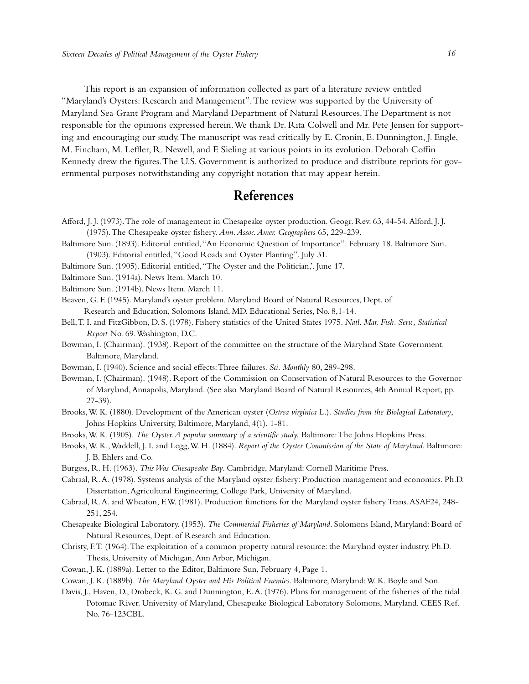This report is an expansion of information collected as part of a literature review entitled "Maryland's Oysters: Research and Management".The review was supported by the University of Maryland Sea Grant Program and Maryland Department of Natural Resources.The Department is not responsible for the opinions expressed herein.We thank Dr. Rita Colwell and Mr. Pete Jensen for supporting and encouraging our study.The manuscript was read critically by E. Cronin, E. Dunnington, J. Engle, M. Fincham, M. Leffler, R. Newell,and F. Sieling at various points in its evolution. Deborah Coffin Kennedy drew the figures.The U.S. Government is authorized to produce and distribute reprints for governmental purposes notwithstanding any copyright notation that may appear herein.

# **References**

- Afford, J. J. (1973).The role of management in Chesapeake oyster production. Geogr. Rev. 63, 44-54.Alford, J. J. (1975).The Chesapeake oyster fishery. *Ann.Assoc.Amer. Geographers* 65, 229-239.
- Baltimore Sun. (1893). Editorial entitled,"An Economic Question of Importance". February 18. Baltimore Sun. (1903). Editorial entitled, "Good Roads and Oyster Planting". July 31.
- Baltimore Sun. (1905). Editorial entitled,"The Oyster and the Politician,'. June 17.
- Baltimore Sun. (1914a). News Item. March 10.
- Baltimore Sun. (1914b). News Item. March 11.

Beaven, G. F. (1945). Maryland's oyster problem. Maryland Board of Natural Resources, Dept. of Research and Education, Solomons Island, MD. Educational Series, No. 8,1-14.

- Bell,T. I. and FitzGibbon, D. S. (1978). Fishery statistics of the United States 1975. *Natl. Mar. Fish. Serv., Statistical Report* No. 69.Washington, D.C.
- Bowman, I. (Chairman). (1938). Report of the committee on the structure of the Maryland State Government. Baltimore, Maryland.
- Bowman, I. (1940). Science and social effects:Three failures. *Sci. Monthly* 80, 289-298.
- Bowman, I. (Chairman). (1948). Report of the Commission on Conservation of Natural Resources to the Governor of Maryland,Annapolis, Maryland. (See also Maryland Board of Natural Resources, 4th Annual Report, pp. 27-39).
- Brooks,W. K. (1880). Development of the American oyster (*Ostrea virginica* L.). *Studies from the Biological Laboratory*, Johns Hopkins University, Baltimore, Maryland, 4(1), 1-81.
- Brooks,W. K. (1905). *The Oyster.A popular summary of a scientific study.* Baltimore:The Johns Hopkins Press.
- Brooks,W. K.,Waddell, J. I. and Legg,W. H. (1884). *Report of the Oyster Commission of the State of Maryland*. Baltimore: J. B. Ehlers and Co.
- Burgess, R. H. (1963). *This Was Chesapeake Bay*. Cambridge, Maryland: Cornell Maritime Press.
- Cabraal, R.A. (1978). Systems analysis of the Maryland oyster fishery: Production management and economics. Ph.D. Dissertation,Agricultural Engineering, College Park, University of Maryland.
- Cabraal, R.A. and Wheaton, F.W. (1981). Production functions for the Maryland oyster fishery.Trans.ASAF24, 248- 251, 254.
- Chesapeake Biological Laboratory. (1953). *The Commercial Fisheries of Maryland*. Solomons Island, Maryland: Board of Natural Resources, Dept. of Research and Education.
- Christy, F.T. (1964).The exploitation of a common property natural resource: the Maryland oyster industry. Ph.D. Thesis, University of Michigan,Ann Arbor, Michigan.
- Cowan, J. K. (1889a). Letter to the Editor, Baltimore Sun, February 4, Page 1.
- Cowan, J. K. (1889b). *The Maryland Oyster and His Political Enemies*. Baltimore, Maryland:W. K. Boyle and Son.
- Davis, J., Haven, D., Drobeck, K. G.and Dunnington, E.A. (1976). Plans for management of the fisheries of the tidal Potomac River. University of Maryland, Chesapeake Biological Laboratory Solomons, Maryland. CEES Ref. No. 76-123CBL.